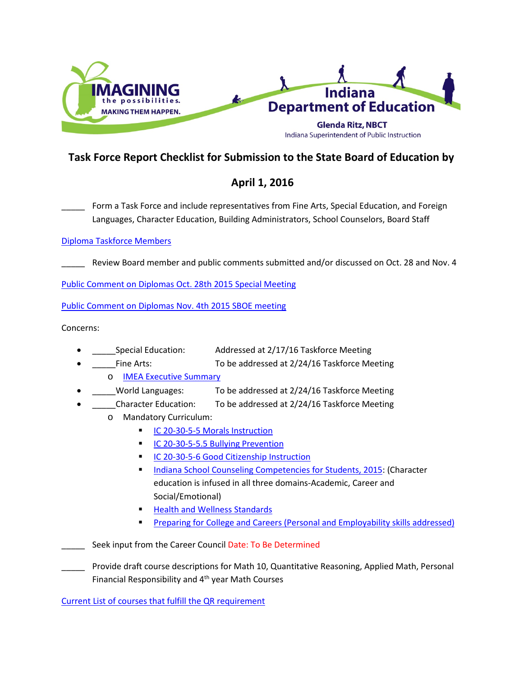

## **Task Force Report Checklist for Submission to the State Board of Education by**

## **April 1, 2016**

Form a Task Force and include representatives from Fine Arts, Special Education, and Foreign Languages, Character Education, Building Administrators, School Counselors, Board Staff

[Diploma Taskforce Members](http://www.in.gov/sboe/2486.htm)

Review Board member and public comments submitted and/or discussed on Oct. 28 and Nov. 4

[Public Comment on Diplomas Oct. 28th 2015 Special Meeting](http://www.in.gov/sboe/files/SBOE_Special_Meeting_Minutes_10_28_15.pdf)

[Public Comment on Diplomas Nov. 4th 2015 SBOE meeting](http://www.in.gov/sboe/files/SBOE_Meeting_Minutes_11_04_15.pdf)

Concerns:

- Special Education: Addressed at 2/17/16 Taskforce Meeting
	- Fine Arts: To be addressed at 2/24/16 Taskforce Meeting
	- o [IMEA Executive Summary](https://www.dropbox.com/s/ujybvs99h20axry/IMEA%20research%20executive%20summary%20and%20selected%20annotated%20bibliography.pdf?dl=0)
- World Languages: To be addressed at 2/24/16 Taskforce Meeting
- Character Education: To be addressed at 2/24/16 Taskforce Meeting
	- o Mandatory Curriculum:
		- [IC 20-30-5-5 Morals Instruction](http://iga.in.gov/legislative/laws/2015/ic/titles/020/articles/030/chapters/005/%23section-5)
		- [IC 20-30-5-5.5 Bullying Prevention](http://iga.in.gov/legislative/laws/2015/ic/titles/020/articles/030/chapters/005/%23section-5)
		- **[IC 20-30-5-6 Good Citizenship Instruction](http://iga.in.gov/legislative/laws/2015/ic/titles/020/articles/030/chapters/005/%23section-5)**
		- [Indiana School Counseling Competencies for Students, 2015:](http://www.doe.in.gov/sites/default/files/student-assistance/indiana-school-counseling-competencies-students-final_1.pdf) (Character education is infused in all three domains-Academic, Career and Social/Emotional)
		- [Health and Wellness Standards](http://www.doe.in.gov/sites/default/files/standards/health-and-wellness/2010_health_education_standards_literacy.pdf)
		- [Preparing for College and Careers \(Personal and Employability skills addressed\)](http://www.doe.in.gov/sites/default/files/standards/cte-family-and-consumer-sciences/cf-busfacs-preparingcc_7-11-14.pdf)

Seek input from the Career Council Date: To Be Determined

Provide draft course descriptions for Math 10, Quantitative Reasoning, Applied Math, Personal Financial Responsibility and  $4<sup>th</sup>$  year Math Courses

[Current List of courses that fulfill the QR requirement](http://www.doe.in.gov/ccr/quantitative-reasoning-courses)